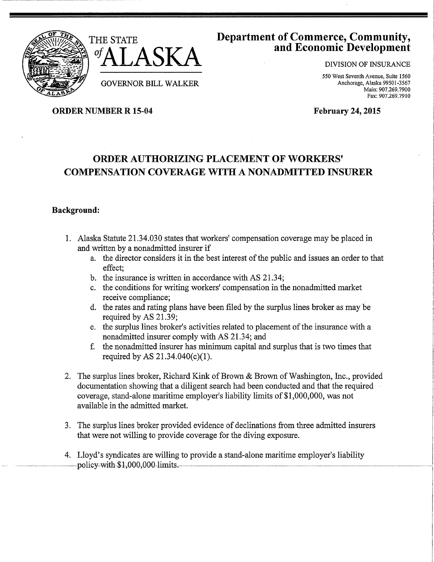



GOVERNOR BILL WALKER

# Department of Commerce, Community, and Economic Development

DIVISION OF INSURANCE

550 West Seventh Avenue, Suite 1560 Anchorage, Alaska 99501-3567 Main: 907.269.7900 Fax: 907.269.7910

ORDER NUMBER R 15-04

February 24, 2015

# ORDER AUTHORIZING PLACEMENT OF WORKERS' COMPENSATION COVERAGE WITH A NONADMITTED INSURER

## Background:

- 1. Alaska Statute 21.34.030 states that workers' compensation coverage may be placed in and written by a nonadmitted insurer if
	- a. the director considers it in the best interest of the public and issues an order to that effect;
	- b. the insurance is written in accordance with AS 21.34;
	- c. the conditions for writing workers' compensation in the nonadmitted market receive compliance;
	- d. the rates and rating plans have been filed by the surplus lines broker as may be required by AS 21.39;
	- e. the surplus lines broker's activities related to placement of the insurance with a nonadmitted insurer comply with AS 21.34; and
	- f. the nonadmitted insurer has minimum capital and surplus that is two times that required by AS  $21.34.040(c)(1)$ .
- 2. The surplus lines broker, Richard Kink of Brown & Brown of Washington, Inc., provided documentation showing that a diligent search had been conducted and that the required coverage, stand-alone maritime employer's liability limits of \$1,000,000, was not available in the admitted market.
- 3. The surplus lines broker provided evidence of declinations from three admitted insurers that were not willing to provide coverage for the diving exposure.
- 4. Lloyd's syndicates are willing to provide a stand-alone maritime employer's liability policy-with-\$1,000,000-limits.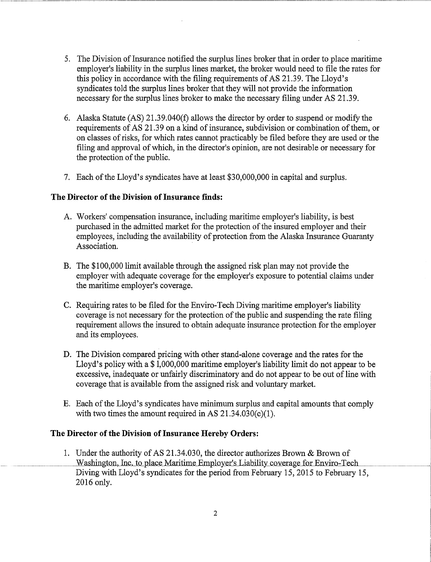- 5. The Division of Insurance notified the surplus lines broker that in order to place maritime employer's liability in the surplus lines market, the broker would need to file the rates for this policy in accordance with the filing requirements of AS 21.39. The Lloyd's syndicates told the surplus lines broker that they will not provide the information necessary for the surplus lines broker to make the necessary filing under AS 21.39.
- 6. Alaska Statute  $(AS)$  21.39.040(f) allows the director by order to suspend or modify the requirements of AS 21.39 on a kind of insurance, subdivision or combination of them, or on classes of risks, for which rates cannot practicably be filed before they are used or the filing and approval of which, in the director's opinion, are not desirable or necessary for the protection of the public.
- 7. Each of the Lloyd's syndicates have at least \$30,000,000 in capital and surplus.

### **The Director of the Division of Insurance finds:**

- A. Workers' compensation insurance, including maritime employer's liability, is best purchased in the admitted market for the protection of the insured employer and their employees, including the availability of protection from the Alaska Insurance Guaranty Association.
- B. The \$100,000 limit available through the assigned risk plan may not provide the employer with adequate coverage for the employer's exposure to potential claims under the maritime employer's coverage.
- C. Requiring rates to be filed for the Enviro-Tech Diving maritime employer's liability coverage is not necessary for the protection of the public and suspending the rate filing requirement allows the insured to obtain adequate insurance protection for the employer and its employees.
- D. The Division compared pricing with other stand-alone coverage and the rates for the Lloyd's policy with a \$1,000,000 maritime employer's liability limit do not appear to be excessive, inadequate or unfairly discriminatory and do not appear to be out of line with coverage that is available from the assigned risk and voluntary market.
- E. Each of the Lloyd's syndicates have minimum surplus and capital amounts that comply with two times the amount required in AS  $21.34.030(c)(1)$ .

#### **The Director of the Division of Insurance Hereby Orders:**

1. Under the authority of AS 21.34.030, the director authorizes Brown & Brown of Washington, Inc. to place Maritime Employer's Liability coverage for Enviro-Tech Diving with Lloyd's syndicates for the period from February 15, 2015 to February 15, 2016 only.